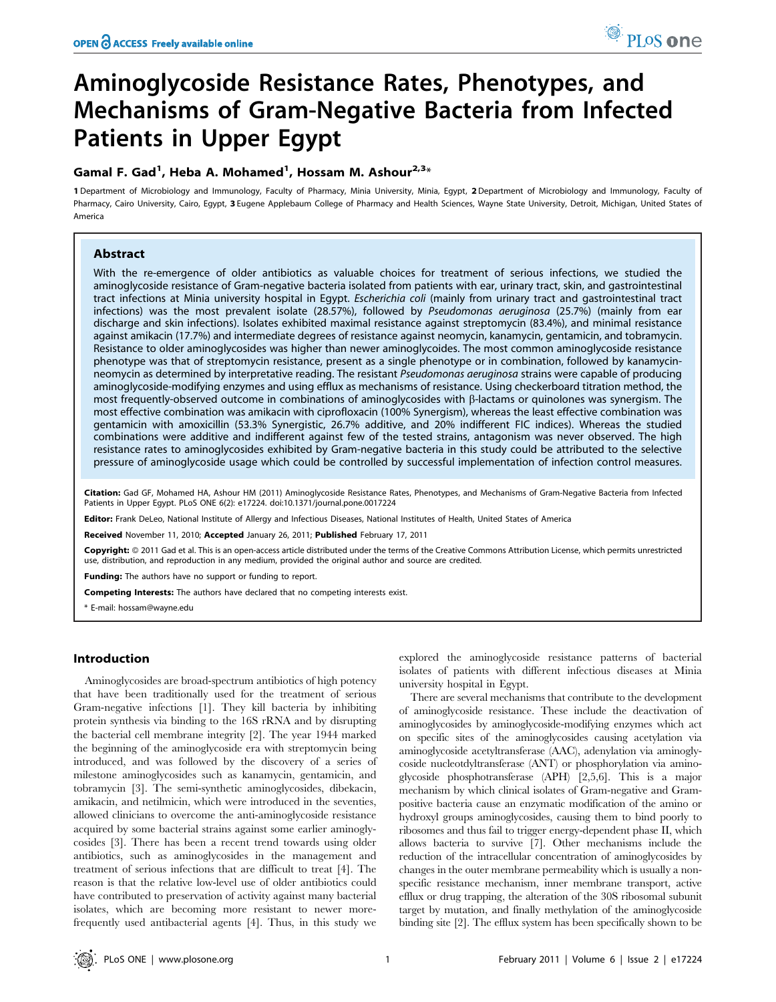# Aminoglycoside Resistance Rates, Phenotypes, and Mechanisms of Gram-Negative Bacteria from Infected Patients in Upper Egypt

## Gamal F. Gad<sup>1</sup>, Heba A. Mohamed<sup>1</sup>, Hossam M. Ashour<sup>2,3</sup>\*

1 Department of Microbiology and Immunology, Faculty of Pharmacy, Minia University, Minia, Egypt, 2 Department of Microbiology and Immunology, Faculty of Pharmacy, Cairo University, Cairo, Egypt, 3 Eugene Applebaum College of Pharmacy and Health Sciences, Wayne State University, Detroit, Michigan, United States of America

## Abstract

With the re-emergence of older antibiotics as valuable choices for treatment of serious infections, we studied the aminoglycoside resistance of Gram-negative bacteria isolated from patients with ear, urinary tract, skin, and gastrointestinal tract infections at Minia university hospital in Egypt. Escherichia coli (mainly from urinary tract and gastrointestinal tract infections) was the most prevalent isolate (28.57%), followed by Pseudomonas aeruginosa (25.7%) (mainly from ear discharge and skin infections). Isolates exhibited maximal resistance against streptomycin (83.4%), and minimal resistance against amikacin (17.7%) and intermediate degrees of resistance against neomycin, kanamycin, gentamicin, and tobramycin. Resistance to older aminoglycosides was higher than newer aminoglycoides. The most common aminoglycoside resistance phenotype was that of streptomycin resistance, present as a single phenotype or in combination, followed by kanamycinneomycin as determined by interpretative reading. The resistant Pseudomonas aeruginosa strains were capable of producing aminoglycoside-modifying enzymes and using efflux as mechanisms of resistance. Using checkerboard titration method, the most frequently-observed outcome in combinations of aminoglycosides with  $\beta$ -lactams or quinolones was synergism. The most effective combination was amikacin with ciprofloxacin (100% Synergism), whereas the least effective combination was gentamicin with amoxicillin (53.3% Synergistic, 26.7% additive, and 20% indifferent FIC indices). Whereas the studied combinations were additive and indifferent against few of the tested strains, antagonism was never observed. The high resistance rates to aminoglycosides exhibited by Gram-negative bacteria in this study could be attributed to the selective pressure of aminoglycoside usage which could be controlled by successful implementation of infection control measures.

Citation: Gad GF, Mohamed HA, Ashour HM (2011) Aminoglycoside Resistance Rates, Phenotypes, and Mechanisms of Gram-Negative Bacteria from Infected Patients in Upper Egypt. PLoS ONE 6(2): e17224. doi:10.1371/journal.pone.0017224

Editor: Frank DeLeo, National Institute of Allergy and Infectious Diseases, National Institutes of Health, United States of America

Received November 11, 2010; Accepted January 26, 2011; Published February 17, 2011

**Copyright:** © 2011 Gad et al. This is an open-access article distributed under the terms of the Creative Commons Attribution License, which permits unrestricted use, distribution, and reproduction in any medium, provided the original author and source are credited.

Funding: The authors have no support or funding to report.

Competing Interests: The authors have declared that no competing interests exist.

\* E-mail: hossam@wayne.edu

## Introduction

Aminoglycosides are broad-spectrum antibiotics of high potency that have been traditionally used for the treatment of serious Gram-negative infections [1]. They kill bacteria by inhibiting protein synthesis via binding to the 16S rRNA and by disrupting the bacterial cell membrane integrity [2]. The year 1944 marked the beginning of the aminoglycoside era with streptomycin being introduced, and was followed by the discovery of a series of milestone aminoglycosides such as kanamycin, gentamicin, and tobramycin [3]. The semi-synthetic aminoglycosides, dibekacin, amikacin, and netilmicin, which were introduced in the seventies, allowed clinicians to overcome the anti-aminoglycoside resistance acquired by some bacterial strains against some earlier aminoglycosides [3]. There has been a recent trend towards using older antibiotics, such as aminoglycosides in the management and treatment of serious infections that are difficult to treat [4]. The reason is that the relative low-level use of older antibiotics could have contributed to preservation of activity against many bacterial isolates, which are becoming more resistant to newer morefrequently used antibacterial agents [4]. Thus, in this study we

explored the aminoglycoside resistance patterns of bacterial isolates of patients with different infectious diseases at Minia university hospital in Egypt.

There are several mechanisms that contribute to the development of aminoglycoside resistance. These include the deactivation of aminoglycosides by aminoglycoside-modifying enzymes which act on specific sites of the aminoglycosides causing acetylation via aminoglycoside acetyltransferase (AAC), adenylation via aminoglycoside nucleotdyltransferase (ANT) or phosphorylation via aminoglycoside phosphotransferase (APH) [2,5,6]. This is a major mechanism by which clinical isolates of Gram-negative and Grampositive bacteria cause an enzymatic modification of the amino or hydroxyl groups aminoglycosides, causing them to bind poorly to ribosomes and thus fail to trigger energy-dependent phase II, which allows bacteria to survive [7]. Other mechanisms include the reduction of the intracellular concentration of aminoglycosides by changes in the outer membrane permeability which is usually a nonspecific resistance mechanism, inner membrane transport, active efflux or drug trapping, the alteration of the 30S ribosomal subunit target by mutation, and finally methylation of the aminoglycoside binding site [2]. The efflux system has been specifically shown to be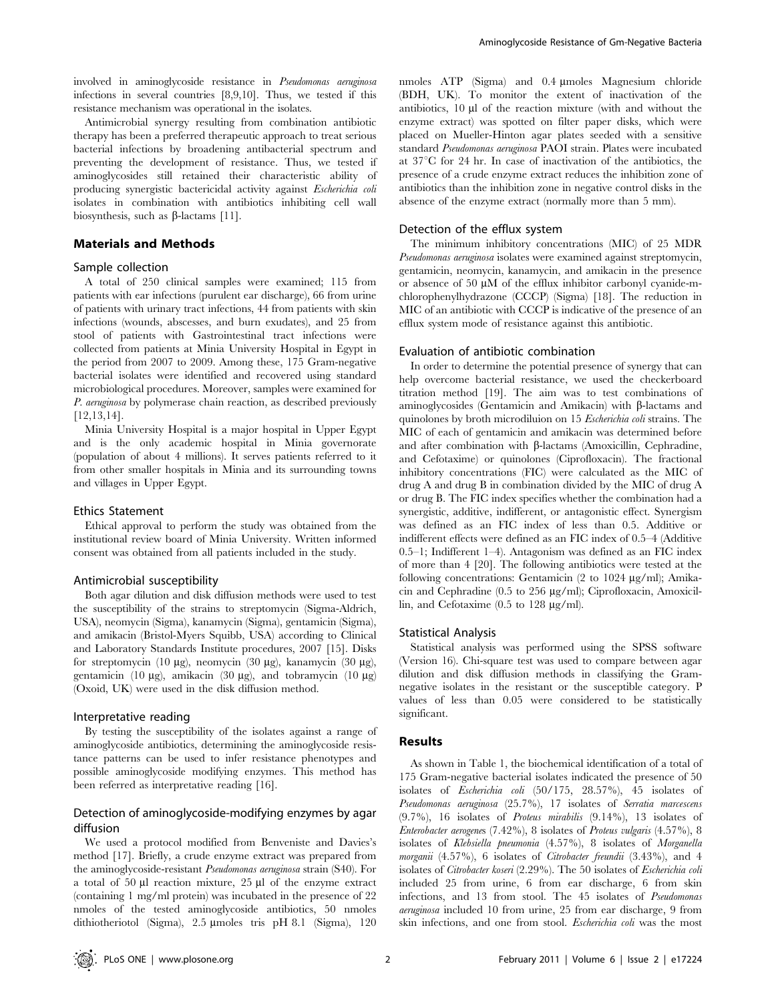involved in aminoglycoside resistance in Pseudomonas aeruginosa infections in several countries [8,9,10]. Thus, we tested if this resistance mechanism was operational in the isolates.

Antimicrobial synergy resulting from combination antibiotic therapy has been a preferred therapeutic approach to treat serious bacterial infections by broadening antibacterial spectrum and preventing the development of resistance. Thus, we tested if aminoglycosides still retained their characteristic ability of producing synergistic bactericidal activity against Escherichia coli isolates in combination with antibiotics inhibiting cell wall biosynthesis, such as  $\beta$ -lactams [11].

## Materials and Methods

#### Sample collection

A total of 250 clinical samples were examined; 115 from patients with ear infections (purulent ear discharge), 66 from urine of patients with urinary tract infections, 44 from patients with skin infections (wounds, abscesses, and burn exudates), and 25 from stool of patients with Gastrointestinal tract infections were collected from patients at Minia University Hospital in Egypt in the period from 2007 to 2009. Among these, 175 Gram-negative bacterial isolates were identified and recovered using standard microbiological procedures. Moreover, samples were examined for P. aeruginosa by polymerase chain reaction, as described previously [12,13,14].

Minia University Hospital is a major hospital in Upper Egypt and is the only academic hospital in Minia governorate (population of about 4 millions). It serves patients referred to it from other smaller hospitals in Minia and its surrounding towns and villages in Upper Egypt.

#### Ethics Statement

Ethical approval to perform the study was obtained from the institutional review board of Minia University. Written informed consent was obtained from all patients included in the study.

#### Antimicrobial susceptibility

Both agar dilution and disk diffusion methods were used to test the susceptibility of the strains to streptomycin (Sigma-Aldrich, USA), neomycin (Sigma), kanamycin (Sigma), gentamicin (Sigma), and amikacin (Bristol-Myers Squibb, USA) according to Clinical and Laboratory Standards Institute procedures, 2007 [15]. Disks for streptomycin (10 mg), neomycin (30 mg), kanamycin (30 mg), gentamicin (10  $\mu$ g), amikacin (30  $\mu$ g), and tobramycin (10  $\mu$ g) (Oxoid, UK) were used in the disk diffusion method.

#### Interpretative reading

By testing the susceptibility of the isolates against a range of aminoglycoside antibiotics, determining the aminoglycoside resistance patterns can be used to infer resistance phenotypes and possible aminoglycoside modifying enzymes. This method has been referred as interpretative reading [16].

## Detection of aminoglycoside-modifying enzymes by agar diffusion

We used a protocol modified from Benveniste and Davies's method [17]. Briefly, a crude enzyme extract was prepared from the aminoglycoside-resistant Pseudomonas aeruginosa strain (S40). For a total of 50  $\mu$ l reaction mixture, 25  $\mu$ l of the enzyme extract (containing 1 mg/ml protein) was incubated in the presence of 22 nmoles of the tested aminoglycoside antibiotics, 50 nmoles dithiotheriotol (Sigma), 2.5 µmoles tris pH 8.1 (Sigma), 120

nmoles ATP (Sigma) and 0.4 µmoles Magnesium chloride (BDH, UK). To monitor the extent of inactivation of the antibiotics,  $10 \mu l$  of the reaction mixture (with and without the enzyme extract) was spotted on filter paper disks, which were placed on Mueller-Hinton agar plates seeded with a sensitive standard Pseudomonas aeruginosa PAOI strain. Plates were incubated at  $37^{\circ}$ C for 24 hr. In case of inactivation of the antibiotics, the presence of a crude enzyme extract reduces the inhibition zone of antibiotics than the inhibition zone in negative control disks in the absence of the enzyme extract (normally more than 5 mm).

#### Detection of the efflux system

The minimum inhibitory concentrations (MIC) of 25 MDR Pseudomonas aeruginosa isolates were examined against streptomycin, gentamicin, neomycin, kanamycin, and amikacin in the presence or absence of 50  $\mu$ M of the efflux inhibitor carbonyl cyanide-mchlorophenylhydrazone (CCCP) (Sigma) [18]. The reduction in MIC of an antibiotic with CCCP is indicative of the presence of an efflux system mode of resistance against this antibiotic.

## Evaluation of antibiotic combination

In order to determine the potential presence of synergy that can help overcome bacterial resistance, we used the checkerboard titration method [19]. The aim was to test combinations of aminoglycosides (Gentamicin and Amikacin) with  $\beta$ -lactams and quinolones by broth microdiluion on 15 Escherichia coli strains. The MIC of each of gentamicin and amikacin was determined before and after combination with  $\beta$ -lactams (Amoxicillin, Cephradine, and Cefotaxime) or quinolones (Ciprofloxacin). The fractional inhibitory concentrations (FIC) were calculated as the MIC of drug A and drug B in combination divided by the MIC of drug A or drug B. The FIC index specifies whether the combination had a synergistic, additive, indifferent, or antagonistic effect. Synergism was defined as an FIC index of less than 0.5. Additive or indifferent effects were defined as an FIC index of 0.5–4 (Additive 0.5–1; Indifferent 1–4). Antagonism was defined as an FIC index of more than 4 [20]. The following antibiotics were tested at the following concentrations: Gentamicin  $(2 \text{ to } 1024 \text{ µg/ml})$ ; Amikacin and Cephradine  $(0.5 \text{ to } 256 \text{ µg/ml})$ ; Ciprofloxacin, Amoxicillin, and Cefotaxime  $(0.5 \text{ to } 128 \text{ µg/ml})$ .

#### Statistical Analysis

Statistical analysis was performed using the SPSS software (Version 16). Chi-square test was used to compare between agar dilution and disk diffusion methods in classifying the Gramnegative isolates in the resistant or the susceptible category. P values of less than 0.05 were considered to be statistically significant.

## Results

As shown in Table 1, the biochemical identification of a total of 175 Gram-negative bacterial isolates indicated the presence of 50 isolates of Escherichia coli (50/175, 28.57%), 45 isolates of Pseudomonas aeruginosa (25.7%), 17 isolates of Serratia marcescens  $(9.7\%)$ , 16 isolates of *Proteus mirabilis*  $(9.14\%)$ , 13 isolates of Enterobacter aerogenes (7.42%), 8 isolates of Proteus vulgaris (4.57%), 8 isolates of Klebsiella pneumonia (4.57%), 8 isolates of Morganella morganii (4.57%), 6 isolates of Citrobacter freundii (3.43%), and 4 isolates of Citrobacter koseri (2.29%). The 50 isolates of Escherichia coli included 25 from urine, 6 from ear discharge, 6 from skin infections, and 13 from stool. The 45 isolates of Pseudomonas aeruginosa included 10 from urine, 25 from ear discharge, 9 from skin infections, and one from stool. Escherichia coli was the most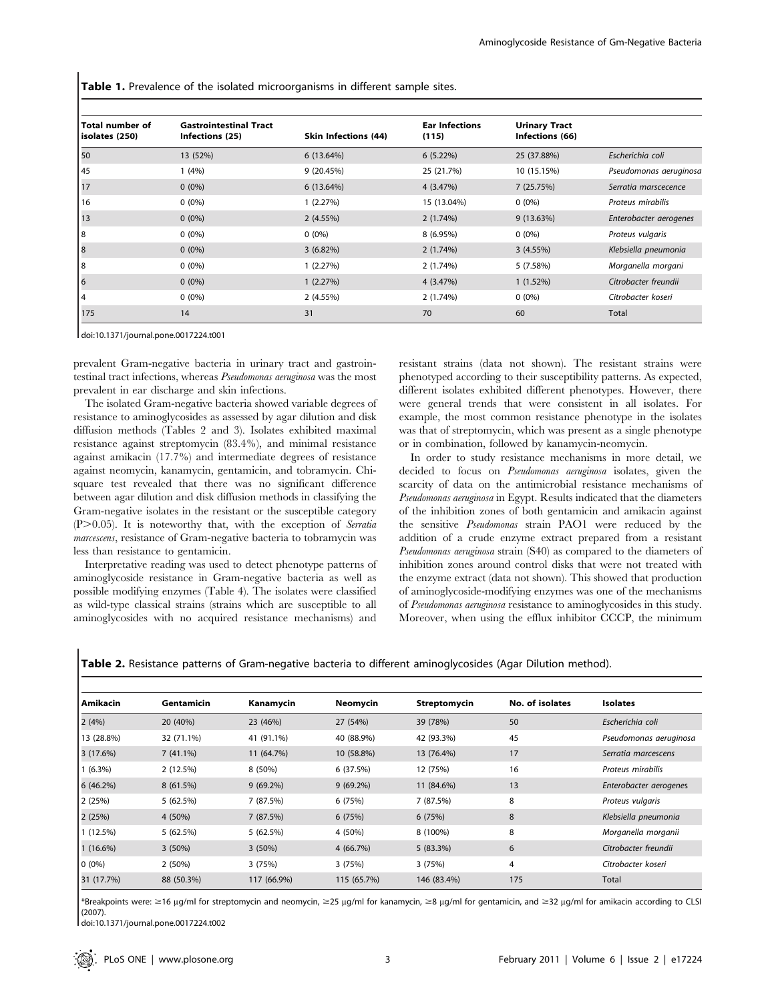Table 1. Prevalence of the isolated microorganisms in different sample sites.

| <b>Total number of</b><br>isolates (250) | <b>Gastrointestinal Tract</b><br>Infections (25) | <b>Skin Infections (44)</b> | <b>Ear Infections</b><br>(115) | <b>Urinary Tract</b><br>Infections (66) |                        |
|------------------------------------------|--------------------------------------------------|-----------------------------|--------------------------------|-----------------------------------------|------------------------|
| 50                                       | 13 (52%)                                         | 6(13.64%)                   | 6(5.22%)                       | 25 (37.88%)                             | Escherichia coli       |
| 45                                       | (4%)                                             | 9(20.45%)                   | 25 (21.7%)                     | 10 (15.15%)                             | Pseudomonas aeruginosa |
| 17                                       | $0(0\%)$                                         | 6(13.64%)                   | 4 (3.47%)                      | 7 (25.75%)                              | Serratia marscecence   |
| 16                                       | $0(0\%)$                                         | 1(2.27%)                    | 15 (13.04%)                    | $0(0\%)$                                | Proteus mirabilis      |
| 13                                       | $0(0\%)$                                         | 2(4.55%)                    | 2(1.74%)                       | 9(13.63%)                               | Enterobacter aerogenes |
| 8                                        | $0(0\%)$                                         | $0(0\%)$                    | 8 (6.95%)                      | $0(0\%)$                                | Proteus vulgaris       |
| 8                                        | $0(0\%)$                                         | $3(6.82\%)$                 | 2(1.74%)                       | 3(4.55%)                                | Klebsiella pneumonia   |
| 18                                       | $0(0\%)$                                         | 1(2.27%)                    | 2(1.74%)                       | 5 (7.58%)                               | Morganella morgani     |
| 6                                        | $0(0\%)$                                         | 1(2.27%)                    | 4 (3.47%)                      | 1(1.52%)                                | Citrobacter freundii   |
| 4                                        | $0(0\%)$                                         | 2(4.55%)                    | 2(1.74%)                       | $0(0\%)$                                | Citrobacter koseri     |
| 175                                      | 14                                               | 31                          | 70                             | 60                                      | Total                  |

doi:10.1371/journal.pone.0017224.t001

prevalent Gram-negative bacteria in urinary tract and gastrointestinal tract infections, whereas Pseudomonas aeruginosa was the most prevalent in ear discharge and skin infections.

The isolated Gram-negative bacteria showed variable degrees of resistance to aminoglycosides as assessed by agar dilution and disk diffusion methods (Tables 2 and 3). Isolates exhibited maximal resistance against streptomycin (83.4%), and minimal resistance against amikacin (17.7%) and intermediate degrees of resistance against neomycin, kanamycin, gentamicin, and tobramycin. Chisquare test revealed that there was no significant difference between agar dilution and disk diffusion methods in classifying the Gram-negative isolates in the resistant or the susceptible category  $(P>0.05)$ . It is noteworthy that, with the exception of Serratia marcescens, resistance of Gram-negative bacteria to tobramycin was less than resistance to gentamicin.

Interpretative reading was used to detect phenotype patterns of aminoglycoside resistance in Gram-negative bacteria as well as possible modifying enzymes (Table 4). The isolates were classified as wild-type classical strains (strains which are susceptible to all aminoglycosides with no acquired resistance mechanisms) and resistant strains (data not shown). The resistant strains were phenotyped according to their susceptibility patterns. As expected, different isolates exhibited different phenotypes. However, there were general trends that were consistent in all isolates. For example, the most common resistance phenotype in the isolates was that of streptomycin, which was present as a single phenotype or in combination, followed by kanamycin-neomycin.

In order to study resistance mechanisms in more detail, we decided to focus on Pseudomonas aeruginosa isolates, given the scarcity of data on the antimicrobial resistance mechanisms of Pseudomonas aeruginosa in Egypt. Results indicated that the diameters of the inhibition zones of both gentamicin and amikacin against the sensitive Pseudomonas strain PAO1 were reduced by the addition of a crude enzyme extract prepared from a resistant Pseudomonas aeruginosa strain (S40) as compared to the diameters of inhibition zones around control disks that were not treated with the enzyme extract (data not shown). This showed that production of aminoglycoside-modifying enzymes was one of the mechanisms of Pseudomonas aeruginosa resistance to aminoglycosides in this study. Moreover, when using the efflux inhibitor CCCP, the minimum

Table 2. Resistance patterns of Gram-negative bacteria to different aminoglycosides (Agar Dilution method).

| Amikacin    | Gentamicin  | Kanamycin   | Neomycin    | Streptomycin | No. of isolates | <b>Isolates</b>        |
|-------------|-------------|-------------|-------------|--------------|-----------------|------------------------|
| 2(4%)       | 20 (40%)    | 23 (46%)    | 27 (54%)    | 39 (78%)     | 50              | Escherichia coli       |
| 13 (28.8%)  | 32 (71.1%)  | 41 (91.1%)  | 40 (88.9%)  | 42 (93.3%)   | 45              | Pseudomonas aeruginosa |
| 3(17.6%)    | $7(41.1\%)$ | 11 (64.7%)  | 10 (58.8%)  | 13 (76.4%)   | 17              | Serratia marcescens    |
| $1(6.3\%)$  | 2 (12.5%)   | 8 (50%)     | 6(37.5%)    | 12 (75%)     | 16              | Proteus mirabilis      |
| 6(46.2%)    | 8(61.5%)    | $9(69.2\%)$ | $9(69.2\%)$ | 11 (84.6%)   | 13              | Enterobacter aerogenes |
| 2 (25%)     | 5 (62.5%)   | 7 (87.5%)   | 6 (75%)     | 7 (87.5%)    | 8               | Proteus vulgaris       |
| 2(25%)      | 4 (50%)     | 7 (87.5%)   | 6(75%)      | 6(75%)       | 8               | Klebsiella pneumonia   |
| 1(12.5%)    | 5 (62.5%)   | 5(62.5%)    | 4 (50%)     | 8 (100%)     | 8               | Morganella morganii    |
| $1(16.6\%)$ | $3(50\%)$   | 3(50%)      | 4 (66.7%)   | 5(83.3%)     | 6               | Citrobacter freundii   |
| $0(0\%)$    | 2(50%)      | 3(75%)      | 3(75%)      | 3(75%)       | 4               | Citrobacter koseri     |
| 31 (17.7%)  | 88 (50.3%)  | 117 (66.9%) | 115 (65.7%) | 146 (83.4%)  | 175             | Total                  |

\*Breakpoints were: ≥16 µg/ml for streptomycin and neomycin, ≥25 µg/ml for kanamycin, ≥8 µg/ml for gentamicin, and ≥32 µg/ml for amikacin according to CLSI (2007).

doi:10.1371/journal.pone.0017224.t002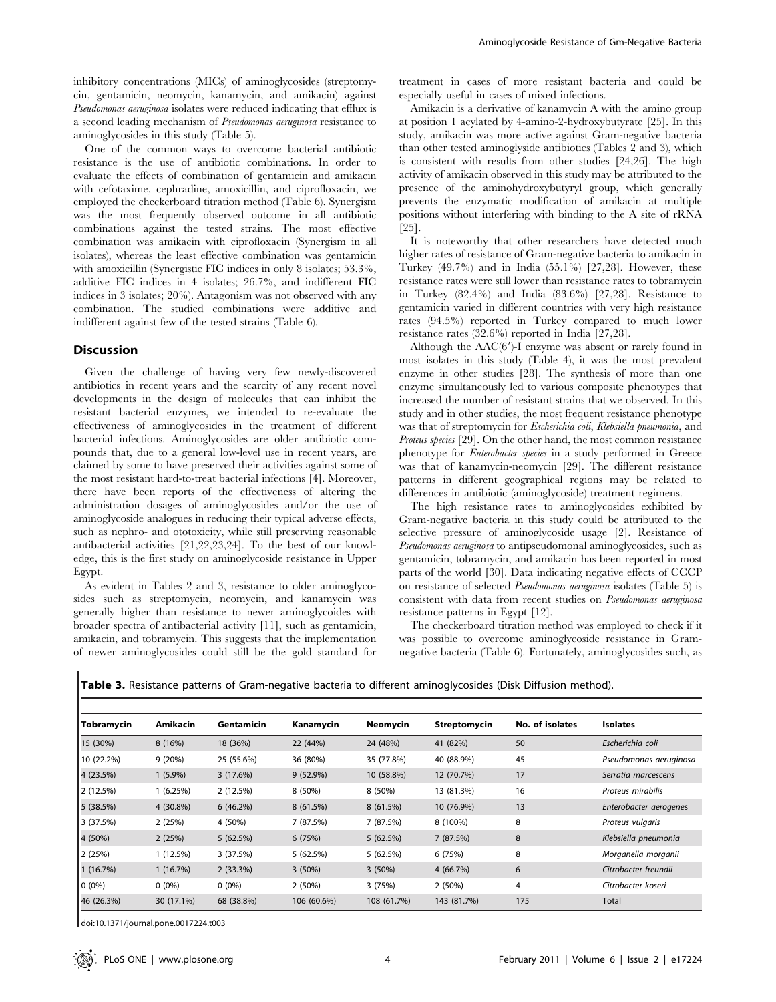inhibitory concentrations (MICs) of aminoglycosides (streptomycin, gentamicin, neomycin, kanamycin, and amikacin) against Pseudomonas aeruginosa isolates were reduced indicating that efflux is a second leading mechanism of Pseudomonas aeruginosa resistance to aminoglycosides in this study (Table 5).

One of the common ways to overcome bacterial antibiotic resistance is the use of antibiotic combinations. In order to evaluate the effects of combination of gentamicin and amikacin with cefotaxime, cephradine, amoxicillin, and ciprofloxacin, we employed the checkerboard titration method (Table 6). Synergism was the most frequently observed outcome in all antibiotic combinations against the tested strains. The most effective combination was amikacin with ciprofloxacin (Synergism in all isolates), whereas the least effective combination was gentamicin with amoxicillin (Synergistic FIC indices in only 8 isolates; 53.3%, additive FIC indices in 4 isolates; 26.7%, and indifferent FIC indices in 3 isolates; 20%). Antagonism was not observed with any combination. The studied combinations were additive and indifferent against few of the tested strains (Table 6).

## Discussion

Given the challenge of having very few newly-discovered antibiotics in recent years and the scarcity of any recent novel developments in the design of molecules that can inhibit the resistant bacterial enzymes, we intended to re-evaluate the effectiveness of aminoglycosides in the treatment of different bacterial infections. Aminoglycosides are older antibiotic compounds that, due to a general low-level use in recent years, are claimed by some to have preserved their activities against some of the most resistant hard-to-treat bacterial infections [4]. Moreover, there have been reports of the effectiveness of altering the administration dosages of aminoglycosides and/or the use of aminoglycoside analogues in reducing their typical adverse effects, such as nephro- and ototoxicity, while still preserving reasonable antibacterial activities [21,22,23,24]. To the best of our knowledge, this is the first study on aminoglycoside resistance in Upper Egypt.

As evident in Tables 2 and 3, resistance to older aminoglycosides such as streptomycin, neomycin, and kanamycin was generally higher than resistance to newer aminoglycoides with broader spectra of antibacterial activity [11], such as gentamicin, amikacin, and tobramycin. This suggests that the implementation of newer aminoglycosides could still be the gold standard for

treatment in cases of more resistant bacteria and could be especially useful in cases of mixed infections.

Amikacin is a derivative of kanamycin A with the amino group at position 1 acylated by 4-amino-2-hydroxybutyrate [25]. In this study, amikacin was more active against Gram-negative bacteria than other tested aminoglyside antibiotics (Tables 2 and 3), which is consistent with results from other studies [24,26]. The high activity of amikacin observed in this study may be attributed to the presence of the aminohydroxybutyryl group, which generally prevents the enzymatic modification of amikacin at multiple positions without interfering with binding to the A site of rRNA [25].

It is noteworthy that other researchers have detected much higher rates of resistance of Gram-negative bacteria to amikacin in Turkey (49.7%) and in India (55.1%) [27,28]. However, these resistance rates were still lower than resistance rates to tobramycin in Turkey (82.4%) and India (83.6%) [27,28]. Resistance to gentamicin varied in different countries with very high resistance rates (94.5%) reported in Turkey compared to much lower resistance rates (32.6%) reported in India [27,28].

Although the  $AAC(6')$ -I enzyme was absent or rarely found in most isolates in this study (Table 4), it was the most prevalent enzyme in other studies [28]. The synthesis of more than one enzyme simultaneously led to various composite phenotypes that increased the number of resistant strains that we observed. In this study and in other studies, the most frequent resistance phenotype was that of streptomycin for Escherichia coli, Klebsiella pneumonia, and Proteus species [29]. On the other hand, the most common resistance phenotype for Enterobacter species in a study performed in Greece was that of kanamycin-neomycin [29]. The different resistance patterns in different geographical regions may be related to differences in antibiotic (aminoglycoside) treatment regimens.

The high resistance rates to aminoglycosides exhibited by Gram-negative bacteria in this study could be attributed to the selective pressure of aminoglycoside usage [2]. Resistance of Pseudomonas aeruginosa to antipseudomonal aminoglycosides, such as gentamicin, tobramycin, and amikacin has been reported in most parts of the world [30]. Data indicating negative effects of CCCP on resistance of selected Pseudomonas aeruginosa isolates (Table 5) is consistent with data from recent studies on Pseudomonas aeruginosa resistance patterns in Egypt [12].

The checkerboard titration method was employed to check if it was possible to overcome aminoglycoside resistance in Gramnegative bacteria (Table 6). Fortunately, aminoglycosides such, as

| Tobramycin | Amikacin   | Gentamicin | Kanamycin   | <b>Neomycin</b> | Streptomycin | No. of isolates | <b>Isolates</b>        |
|------------|------------|------------|-------------|-----------------|--------------|-----------------|------------------------|
| 15 (30%)   | 8(16%)     | 18 (36%)   | 22 (44%)    | 24 (48%)        | 41 (82%)     | 50              | Escherichia coli       |
| 10 (22.2%) | 9(20%)     | 25 (55.6%) | 36 (80%)    | 35 (77.8%)      | 40 (88.9%)   | 45              | Pseudomonas aeruginosa |
| 4 (23.5%)  | $1(5.9\%)$ | 3(17.6%)   | $9(52.9\%)$ | 10 (58.8%)      | 12 (70.7%)   | 17              | Serratia marcescens    |
| 2(12.5%)   | 1(6.25%)   | 2(12.5%)   | 8 (50%)     | 8 (50%)         | 13 (81.3%)   | 16              | Proteus mirabilis      |
| 5(38.5%)   | 4 (30.8%)  | 6(46.2%)   | 8(61.5%)    | 8(61.5%)        | 10 (76.9%)   | 13              | Enterobacter aerogenes |
| 3 (37.5%)  | 2(25%)     | 4 (50%)    | 7 (87.5%)   | 7 (87.5%)       | 8 (100%)     | 8               | Proteus vulgaris       |
| 4 (50%)    | 2(25%)     | 5(62.5%)   | 6(75%)      | 5(62.5%)        | 7(87.5%)     | 8               | Klebsiella pneumonia   |
| 2(25%)     | 1(12.5%)   | 3(37.5%)   | 5(62.5%)    | 5(62.5%)        | 6 (75%)      | 8               | Morganella morganii    |
| 1(16.7%)   | 1(16.7%)   | 2(33.3%)   | 3(50%)      | $3(50\%)$       | 4 (66.7%)    | 6               | Citrobacter freundii   |
| $0(0\%)$   | $0(0\%)$   | $0(0\%)$   | 2(50%)      | 3(75%)          | 2(50%)       | 4               | Citrobacter koseri     |
| 46 (26.3%) | 30 (17.1%) | 68 (38.8%) | 106 (60.6%) | 108 (61.7%)     | 143 (81.7%)  | 175             | Total                  |

Table 3. Resistance patterns of Gram-negative bacteria to different aminoglycosides (Disk Diffusion method).

doi:10.1371/journal.pone.0017224.t003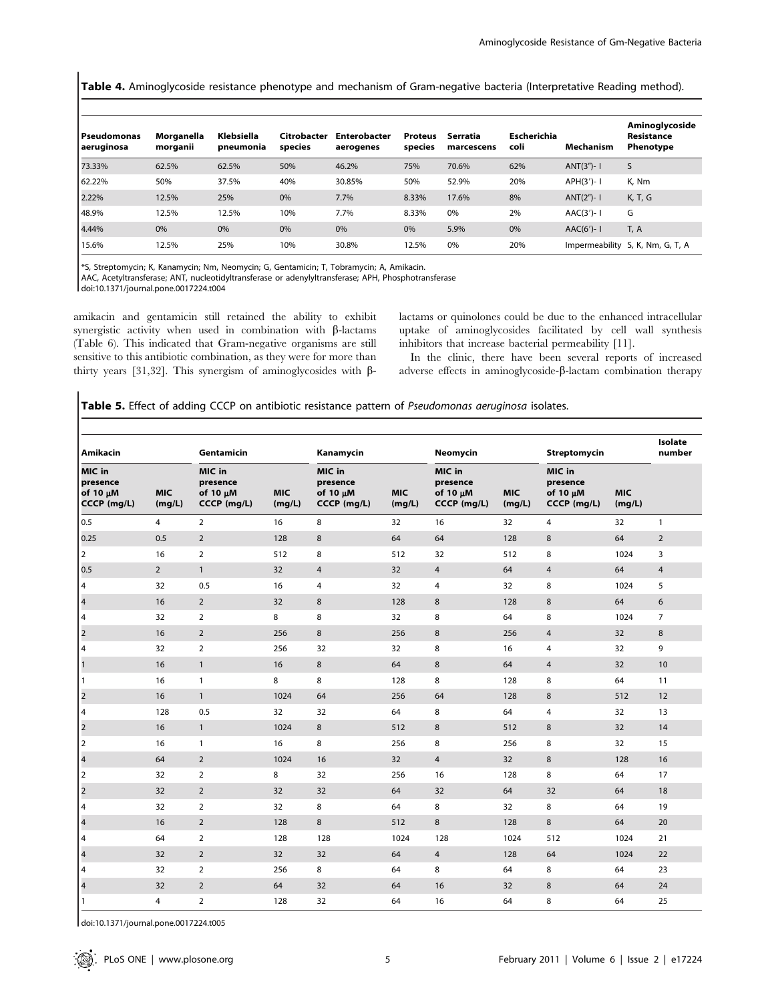Table 4. Aminoglycoside resistance phenotype and mechanism of Gram-negative bacteria (Interpretative Reading method).

| Pseudomonas<br>aeruginosa | Morganella<br>morganii | Klebsiella<br>pneumonia | Citrobacter<br>species | <b>Enterobacter</b><br>aerogenes | Proteus<br>species | Serratia<br>marcescens | Escherichia<br>coli | Mechanism     | Aminoglycoside<br>Resistance<br>Phenotype |
|---------------------------|------------------------|-------------------------|------------------------|----------------------------------|--------------------|------------------------|---------------------|---------------|-------------------------------------------|
| 73.33%                    | 62.5%                  | 62.5%                   | 50%                    | 46.2%                            | 75%                | 70.6%                  | 62%                 | $ANT(3")-1$   | S                                         |
| 62.22%                    | 50%                    | 37.5%                   | 40%                    | 30.85%                           | 50%                | 52.9%                  | 20%                 | APH(3')-1     | K. Nm                                     |
| 2.22%                     | 12.5%                  | 25%                     | 0%                     | 7.7%                             | 8.33%              | 17.6%                  | 8%                  | $ANT(2") - 1$ | K, T, G                                   |
| 48.9%                     | 12.5%                  | 12.5%                   | 10%                    | 7.7%                             | 8.33%              | 0%                     | 2%                  | $AAC(3')-1$   | G                                         |
| 4.44%                     | 0%                     | 0%                      | 0%                     | 0%                               | 0%                 | 5.9%                   | 0%                  | $AAC(6')-1$   | T, A                                      |
| 15.6%                     | 12.5%                  | 25%                     | 10%                    | 30.8%                            | 12.5%              | 0%                     | 20%                 |               | Impermeability S, K, Nm, G, T, A          |

\*S, Streptomycin; K, Kanamycin; Nm, Neomycin; G, Gentamicin; T, Tobramycin; A, Amikacin.

AAC, Acetyltransferase; ANT, nucleotidyltransferase or adenylyltransferase; APH, Phosphotransferase

doi:10.1371/journal.pone.0017224.t004

amikacin and gentamicin still retained the ability to exhibit synergistic activity when used in combination with  $\beta$ -lactams (Table 6). This indicated that Gram-negative organisms are still sensitive to this antibiotic combination, as they were for more than thirty years [31,32]. This synergism of aminoglycosides with  $\beta$ - lactams or quinolones could be due to the enhanced intracellular uptake of aminoglycosides facilitated by cell wall synthesis inhibitors that increase bacterial permeability [11].

In the clinic, there have been several reports of increased adverse effects in aminoglycoside- $\beta$ -lactam combination therapy

Table 5. Effect of adding CCCP on antibiotic resistance pattern of Pseudomonas aeruginosa isolates.

| Amikacin                                      |                      | Gentamicin                                    |                      | Kanamycin                                     |                      |                                               | Neomycin             |                                               |                      | Isolate<br>number |
|-----------------------------------------------|----------------------|-----------------------------------------------|----------------------|-----------------------------------------------|----------------------|-----------------------------------------------|----------------------|-----------------------------------------------|----------------------|-------------------|
| MIC in<br>presence<br>of 10 uM<br>CCCP (mg/L) | <b>MIC</b><br>(mg/L) | MIC in<br>presence<br>of 10 µM<br>CCCP (mg/L) | <b>MIC</b><br>(mg/L) | MIC in<br>presence<br>of 10 µM<br>CCCP (mg/L) | <b>MIC</b><br>(mg/L) | MIC in<br>presence<br>of 10 µM<br>CCCP (mg/L) | <b>MIC</b><br>(mg/L) | MIC in<br>presence<br>of 10 µM<br>CCCP (mg/L) | <b>MIC</b><br>(mg/L) |                   |
| 0.5                                           | $\overline{4}$       | $\overline{2}$                                | 16                   | 8                                             | 32                   | 16                                            | 32                   | 4                                             | 32                   | $\mathbf{1}$      |
| 0.25                                          | 0.5                  | $\overline{2}$                                | 128                  | 8                                             | 64                   | 64                                            | 128                  | 8                                             | 64                   | $\overline{2}$    |
| $\overline{2}$                                | 16                   | $\overline{2}$                                | 512                  | 8                                             | 512                  | 32                                            | 512                  | 8                                             | 1024                 | 3                 |
| 0.5                                           | $\overline{2}$       | $\mathbf{1}$                                  | 32                   | $\overline{4}$                                | 32                   | $\overline{4}$                                | 64                   | $\overline{4}$                                | 64                   | $\overline{4}$    |
| $\overline{4}$                                | 32                   | 0.5                                           | 16                   | $\overline{4}$                                | 32                   | $\overline{4}$                                | 32                   | 8                                             | 1024                 | 5                 |
| $\overline{\mathbf{4}}$                       | 16                   | $\overline{2}$                                | 32                   | 8                                             | 128                  | 8                                             | 128                  | 8                                             | 64                   | 6                 |
| $\overline{4}$                                | 32                   | $\overline{2}$                                | 8                    | 8                                             | 32                   | 8                                             | 64                   | 8                                             | 1024                 | $\overline{7}$    |
| $\mathbf 2$                                   | 16                   | $\overline{2}$                                | 256                  | 8                                             | 256                  | 8                                             | 256                  | $\overline{4}$                                | 32                   | 8                 |
| $\overline{4}$                                | 32                   | $\overline{2}$                                | 256                  | 32                                            | 32                   | 8                                             | 16                   | 4                                             | 32                   | 9                 |
| $\overline{1}$                                | 16                   | $\mathbf{1}$                                  | 16                   | 8                                             | 64                   | 8                                             | 64                   | 4                                             | 32                   | 10                |
| 1                                             | 16                   | $\mathbf{1}$                                  | 8                    | 8                                             | 128                  | 8                                             | 128                  | 8                                             | 64                   | 11                |
| $\overline{2}$                                | 16                   | $\mathbf{1}$                                  | 1024                 | 64                                            | 256                  | 64                                            | 128                  | 8                                             | 512                  | 12                |
| 4                                             | 128                  | 0.5                                           | 32                   | 32                                            | 64                   | 8                                             | 64                   | 4                                             | 32                   | 13                |
| $\overline{2}$                                | 16                   | $\mathbf{1}$                                  | 1024                 | 8                                             | 512                  | 8                                             | 512                  | 8                                             | 32                   | 14                |
| $\overline{2}$                                | 16                   | $\mathbf{1}$                                  | 16                   | 8                                             | 256                  | 8                                             | 256                  | 8                                             | 32                   | 15                |
| $\overline{\mathbf{4}}$                       | 64                   | $\overline{2}$                                | 1024                 | 16                                            | 32                   | $\overline{4}$                                | 32                   | 8                                             | 128                  | 16                |
| $\overline{2}$                                | 32                   | $\overline{2}$                                | 8                    | 32                                            | 256                  | 16                                            | 128                  | 8                                             | 64                   | 17                |
| $\overline{a}$                                | 32                   | $\overline{2}$                                | 32                   | 32                                            | 64                   | 32                                            | 64                   | 32                                            | 64                   | 18                |
| $\overline{4}$                                | 32                   | $\overline{2}$                                | 32                   | 8                                             | 64                   | 8                                             | 32                   | 8                                             | 64                   | 19                |
| $\overline{\mathbf{4}}$                       | 16                   | $\overline{2}$                                | 128                  | 8                                             | 512                  | 8                                             | 128                  | 8                                             | 64                   | 20                |
| $\overline{4}$                                | 64                   | $\overline{2}$                                | 128                  | 128                                           | 1024                 | 128                                           | 1024                 | 512                                           | 1024                 | 21                |
| $\overline{\mathbf{4}}$                       | 32                   | $\overline{2}$                                | 32                   | 32                                            | 64                   | $\overline{4}$                                | 128                  | 64                                            | 1024                 | 22                |
| $\overline{4}$                                | 32                   | $\overline{2}$                                | 256                  | 8                                             | 64                   | 8                                             | 64                   | 8                                             | 64                   | 23                |
| $\overline{\mathbf{4}}$                       | 32                   | $\overline{2}$                                | 64                   | 32                                            | 64                   | 16                                            | 32                   | $\,8\,$                                       | 64                   | 24                |
| $\vert$ 1                                     | 4                    | $\overline{2}$                                | 128                  | 32                                            | 64                   | 16                                            | 64                   | 8                                             | 64                   | 25                |

doi:10.1371/journal.pone.0017224.t005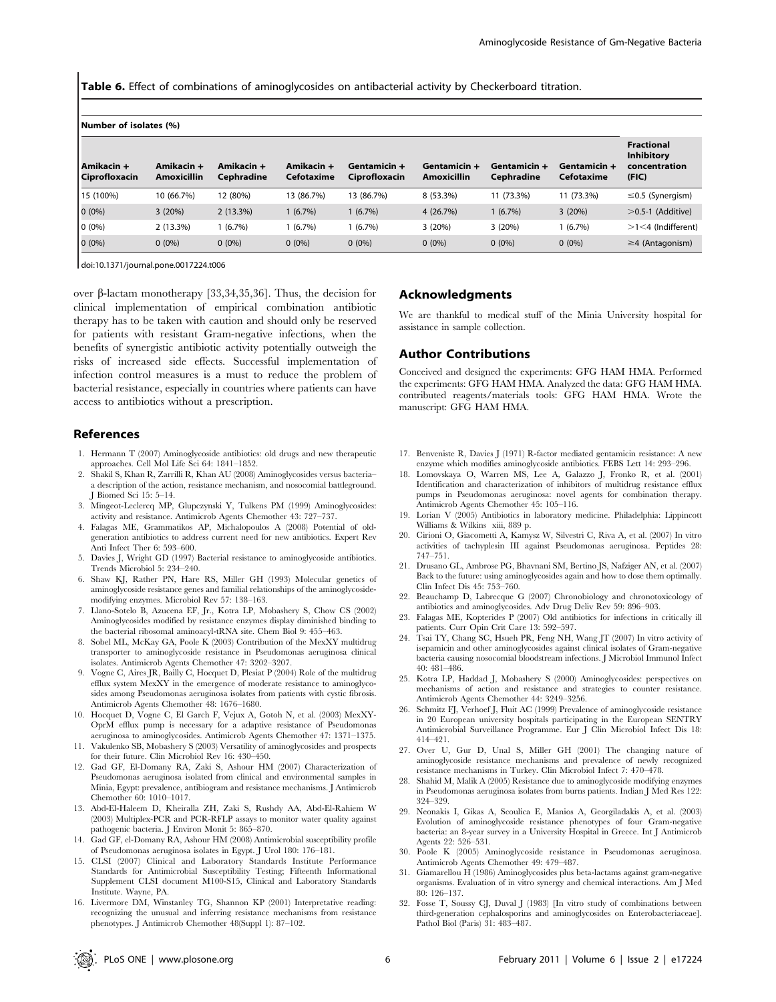Table 6. Effect of combinations of aminoglycosides on antibacterial activity by Checkerboard titration.

| Number of isolates (%) |  |  |  |  |  |
|------------------------|--|--|--|--|--|
|------------------------|--|--|--|--|--|

| Amikacin +<br><b>Ciprofloxacin</b> | Amikacin +<br><b>Amoxicillin</b> | Amikacin +<br>Cephradine | Amikacin +<br>Cefotaxime | Gentamicin +<br>Ciprofloxacin | Gentamicin +<br><b>Amoxicillin</b> | Gentamicin +<br>Cephradine | Gentamicin +<br>Cefotaxime | <b>Fractional</b><br><b>Inhibitory</b><br>concentration<br>(FIG) |
|------------------------------------|----------------------------------|--------------------------|--------------------------|-------------------------------|------------------------------------|----------------------------|----------------------------|------------------------------------------------------------------|
| 15 (100%)                          | 10 (66.7%)                       | 12 (80%)                 | 13 (86.7%)               | 13 (86.7%)                    | $8(53.3\%)$                        | 11 (73.3%)                 | 11 (73.3%)                 | $\leq$ 0.5 (Synergism)                                           |
| $0(0\%)$                           | 3(20%)                           | 2(13.3%)                 | 1(6.7%)                  | $1(6.7\%)$                    | 4(26.7%)                           | $(6.7\%)$                  | 3(20%)                     | $>$ 0.5-1 (Additive)                                             |
| $0(0\%)$                           | 2(13.3%)                         | 1 (6.7%)                 | 1(6.7%)                  | 1 (6.7%)                      | 3(20%)                             | 3(20%)                     | $(6.7\%)$                  | $>1<$ 4 (Indifferent)                                            |
| $0(0\%)$                           | $0(0\%)$                         | $0(0\%)$                 | $0(0\%)$                 | $0(0\%)$                      | $0(0\%)$                           | $0(0\%)$                   | $0(0\%)$                   | $\geq$ 4 (Antagonism)                                            |

doi:10.1371/journal.pone.0017224.t006

over  $\beta$ -lactam monotherapy [33,34,35,36]. Thus, the decision for clinical implementation of empirical combination antibiotic therapy has to be taken with caution and should only be reserved for patients with resistant Gram-negative infections, when the benefits of synergistic antibiotic activity potentially outweigh the risks of increased side effects. Successful implementation of infection control measures is a must to reduce the problem of bacterial resistance, especially in countries where patients can have access to antibiotics without a prescription.

## References

- 1. Hermann T (2007) Aminoglycoside antibiotics: old drugs and new therapeutic approaches. Cell Mol Life Sci 64: 1841–1852.
- 2. Shakil S, Khan R, Zarrilli R, Khan AU (2008) Aminoglycosides versus bacteria– a description of the action, resistance mechanism, and nosocomial battleground. J Biomed Sci 15: 5–14.
- 3. Mingeot-Leclercq MP, Glupczynski Y, Tulkens PM (1999) Aminoglycosides: activity and resistance. Antimicrob Agents Chemother 43: 727–737.
- 4. Falagas ME, Grammatikos AP, Michalopoulos A (2008) Potential of oldgeneration antibiotics to address current need for new antibiotics. Expert Rev Anti Infect Ther 6: 593–600.
- 5. Davies J, Wright GD (1997) Bacterial resistance to aminoglycoside antibiotics. Trends Microbiol 5: 234–240.
- 6. Shaw KJ, Rather PN, Hare RS, Miller GH (1993) Molecular genetics of aminoglycoside resistance genes and familial relationships of the aminoglycosidemodifying enzymes. Microbiol Rev 57: 138–163.
- 7. Llano-Sotelo B, Azucena EF, Jr., Kotra LP, Mobashery S, Chow CS (2002) Aminoglycosides modified by resistance enzymes display diminished binding to the bacterial ribosomal aminoacyl-tRNA site. Chem Biol 9: 455–463.
- 8. Sobel ML, McKay GA, Poole K (2003) Contribution of the MexXY multidrug transporter to aminoglycoside resistance in Pseudomonas aeruginosa clinical isolates. Antimicrob Agents Chemother 47: 3202–3207.
- 9. Vogne C, Aires JR, Bailly C, Hocquet D, Plesiat P (2004) Role of the multidrug efflux system MexXY in the emergence of moderate resistance to aminoglycosides among Pseudomonas aeruginosa isolates from patients with cystic fibrosis. Antimicrob Agents Chemother 48: 1676–1680.
- 10. Hocquet D, Vogne C, El Garch F, Vejux A, Gotoh N, et al. (2003) MexXY-OprM efflux pump is necessary for a adaptive resistance of Pseudomonas aeruginosa to aminoglycosides. Antimicrob Agents Chemother 47: 1371–1375.
- 11. Vakulenko SB, Mobashery S (2003) Versatility of aminoglycosides and prospects for their future. Clin Microbiol Rev 16: 430–450.
- 12. Gad GF, El-Domany RA, Zaki S, Ashour HM (2007) Characterization of Pseudomonas aeruginosa isolated from clinical and environmental samples in Minia, Egypt: prevalence, antibiogram and resistance mechanisms. J Antimicrob Chemother 60: 1010–1017.
- 13. Abd-El-Haleem D, Kheiralla ZH, Zaki S, Rushdy AA, Abd-El-Rahiem W (2003) Multiplex-PCR and PCR-RFLP assays to monitor water quality against pathogenic bacteria. J Environ Monit 5: 865–870.
- 14. Gad GF, el-Domany RA, Ashour HM (2008) Antimicrobial susceptibility profile of Pseudomonas aeruginosa isolates in Egypt. J Urol 180: 176–181.
- 15. CLSI (2007) Clinical and Laboratory Standards Institute Performance Standards for Antimicrobial Susceptibility Testing; Fifteenth Informational Supplement CLSI document M100-S15, Clinical and Laboratory Standards Institute. Wayne, PA.
- 16. Livermore DM, Winstanley TG, Shannon KP (2001) Interpretative reading: recognizing the unusual and inferring resistance mechanisms from resistance phenotypes. J Antimicrob Chemother 48(Suppl 1): 87–102.

#### Acknowledgments

We are thankful to medical stuff of the Minia University hospital for assistance in sample collection.

#### Author Contributions

Conceived and designed the experiments: GFG HAM HMA. Performed the experiments: GFG HAM HMA. Analyzed the data: GFG HAM HMA. contributed reagents/materials tools: GFG HAM HMA. Wrote the manuscript: GFG HAM HMA.

- 17. Benveniste R, Davies J (1971) R-factor mediated gentamicin resistance: A new enzyme which modifies aminoglycoside antibiotics. FEBS Lett 14: 293–296.
- 18. Lomovskaya O, Warren MS, Lee A, Galazzo J, Fronko R, et al. (2001) Identification and characterization of inhibitors of multidrug resistance efflux pumps in Pseudomonas aeruginosa: novel agents for combination therapy. Antimicrob Agents Chemother 45: 105–116.
- 19. Lorian V (2005) Antibiotics in laboratory medicine. Philadelphia: Lippincott Williams & Wilkins xiii, 889 p.
- 20. Cirioni O, Giacometti A, Kamysz W, Silvestri C, Riva A, et al. (2007) In vitro activities of tachyplesin III against Pseudomonas aeruginosa. Peptides 28: 747–751.
- 21. Drusano GL, Ambrose PG, Bhavnani SM, Bertino JS, Nafziger AN, et al. (2007) Back to the future: using aminoglycosides again and how to dose them optimally. Clin Infect Dis 45: 753–760.
- 22. Beauchamp D, Labrecque G (2007) Chronobiology and chronotoxicology of antibiotics and aminoglycosides. Adv Drug Deliv Rev 59: 896–903.
- 23. Falagas ME, Kopterides P (2007) Old antibiotics for infections in critically ill patients. Curr Opin Crit Care 13: 592–597.
- Tsai TY, Chang SC, Hsueh PR, Feng NH, Wang JT (2007) In vitro activity of isepamicin and other aminoglycosides against clinical isolates of Gram-negative bacteria causing nosocomial bloodstream infections. J Microbiol Immunol Infect 40: 481–486.
- 25. Kotra LP, Haddad J, Mobashery S (2000) Aminoglycosides: perspectives on mechanisms of action and resistance and strategies to counter resistance. Antimicrob Agents Chemother 44: 3249–3256.
- 26. Schmitz FJ, Verhoef J, Fluit AC (1999) Prevalence of aminoglycoside resistance in 20 European university hospitals participating in the European SENTRY Antimicrobial Surveillance Programme. Eur J Clin Microbiol Infect Dis 18: 414–421.
- 27. Over U, Gur D, Unal S, Miller GH (2001) The changing nature of aminoglycoside resistance mechanisms and prevalence of newly recognized resistance mechanisms in Turkey. Clin Microbiol Infect 7: 470–478.
- 28. Shahid M, Malik A (2005) Resistance due to aminoglycoside modifying enzymes in Pseudomonas aeruginosa isolates from burns patients. Indian J Med Res 122: 324–329.
- 29. Neonakis I, Gikas A, Scoulica E, Manios A, Georgiladakis A, et al. (2003) Evolution of aminoglycoside resistance phenotypes of four Gram-negative bacteria: an 8-year survey in a University Hospital in Greece. Int J Antimicrob Agents 22: 526–531.
- 30. Poole K (2005) Aminoglycoside resistance in Pseudomonas aeruginosa. Antimicrob Agents Chemother 49: 479–487.
- 31. Giamarellou H (1986) Aminoglycosides plus beta-lactams against gram-negative organisms. Evaluation of in vitro synergy and chemical interactions. Am J Med 80: 126–137.
- 32. Fosse T, Soussy CJ, Duval J (1983) [In vitro study of combinations between third-generation cephalosporins and aminoglycosides on Enterobacteriaceae]. Pathol Biol (Paris) 31: 483–487.